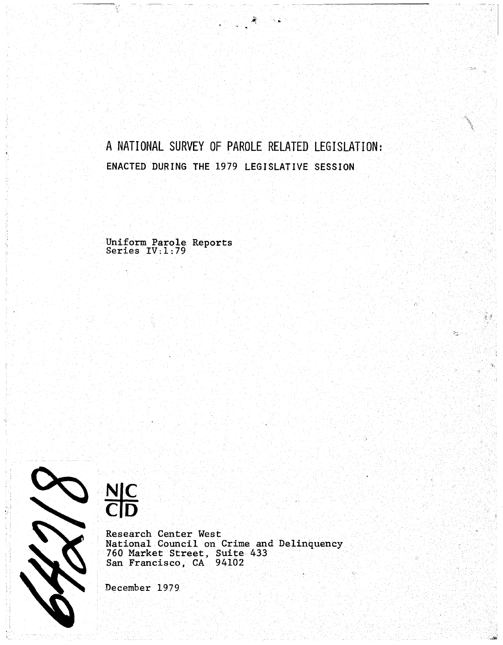# A NATIONAL SURVEY OF PAROLE RELATED LEGISLATION: ENACTED DURING THE 1979 LEGISLATIVE SESSION

 $\mathfrak{g}^{\prime}$  of

್ಲ

 $\tilde{\mathcal{L}}$  :

Uniform Parole Reports Series IV:1:79





Research Center West National Council on Crime and Delinquency 760 Market Street, Suite 433 San Francisco, CA 94102

December 1979.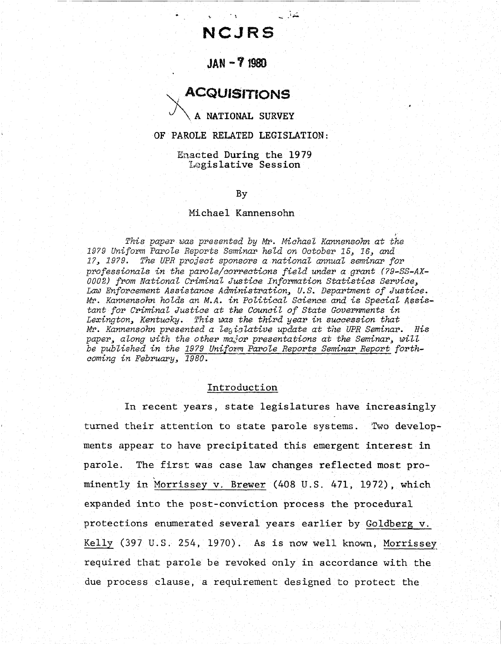# **NCJRS**

يحذلون

 $\ddot{\phantom{0}}$ 

# JAN **-7** 1980

# . ACQUISITIONS

A NATIONAL SURVEY

#### OF PAROLE RELATED LEGISLATION:

Enaeted During the 1979 Legislative Session

#### By

#### Michael Kannensohn

.' *This paper was presented by* Mr. *MichaeZ Kannensohn at the 1979 Uniform Parole Reports Seminar heLd on October* 15~ 16~ *and* 1?~ 1979. *The UPR project sponsors a nationaL annual seminar for professionals in the parole/corrections field under a grant (?9-SS-AX-0002) from National Criminal Justice Information Statistics* Service~ Law *Enforcement Assistance Administration, u.s. Department of Justice.*  Mr. *Kannensohn holds an M.A. in PoliticaL Science and is Special* Assis*tant for Criminal Justice at the CounciL of State Governments in Lexington, Kentucky. This was the third year in succession that*  Mr. *Kannensohn presented a Ze9i37,ative update at the UPR Seminar. His* paper, along with the other ma<sub>i</sub>or presentations at the Seminar, will be published in the 1979 Uniform Parole Reports Seminar Report forth*coming in February, 1980.* 

#### Introduction

In recent years, state legislatures have increasingly turned their attention to state parole systems. *'DNo* developments appear to have precipitated this emergent interest in parole. The first was case law changes reflected most prominently in Morrissey v. Brewer (408 u.S. 471, 1972), which expanded into the post-conviction process the procedural protections enumerated several years earlier by Goldberg v. Kelly (397 u.s. 254, 1970). As is now well known, Morrissey required that parole be revoked only in accordance with the due process clause, a requirement designed to protect the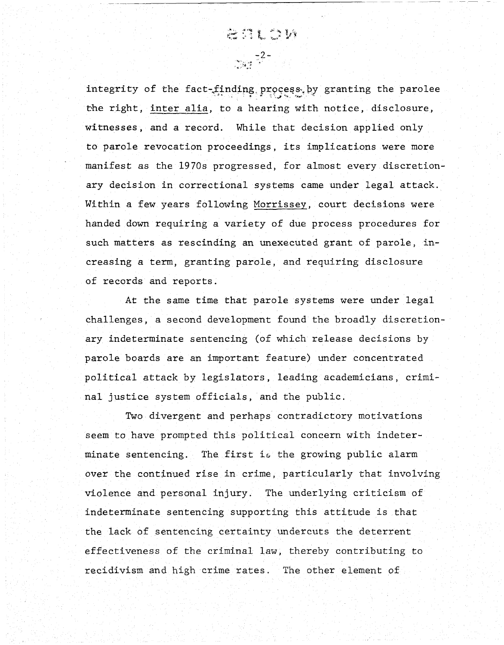integrity of the fact-finding process by granting the parolee rhe right, inter alia, to a hearing with notice, disclosure, witnesses, and a record. While that decision applied only to parole revocation proceedings, its implications were more manifest as the 1970s progressed, for almost every discretionary decision in correctional systems came under legal attack. Within a few years following Morrissey, court decisions were handed down requiring a variety of due process procedures for such matters as rescinding an unexecuted grant of parole, increasing a term, granting parole, and requiring disclosure of records and reports.

**ATLAN** 

 $\frac{1}{2}$  =  $\frac{1}{2}$  =  $\frac{1}{2}$ 

At the same time that parole systems were under legal challenges, a second development found the broadly discretionary indeterminate sentencing (of which release decisions by parole boards are an important feature) under concentrated political attack by legislators, leading academicians, criminal justice system officials, and the public.

Two divergent and perhaps contradictory motivations seem to have prompted this political concern with indeterminate sentencing. The first is the growing public alarm over the continued rise in crime, particularly that involving violence and personal injury. The underlying criticism of indeterminate sentencing supporting this attitude is that the lack of sentencing certainty undercuts the deterrent effectiveness of the criminal law, thereby contributing to recidivism and high crime rates. The other element of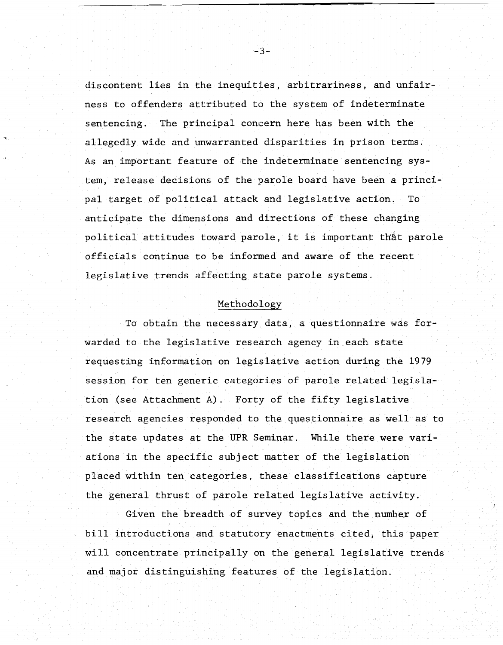discontent lies in the inequities, arbitrariness, and unfairness to offenders attributed to the system of indeterminate sentencing. The principal coneern here has been with the allegedly wide and unwarranted disparities in prison terms. As an important feature of the indeterminate sentencing system, release decisions of the parole board have been a principal target of political attack and legislative action. To anticipate the dimensions and directions of these changing political attitudes toward parole, it is important that parole officials continue to be informed and aware of the recent legislative trends affecting state parole systems.

#### Methodology

To obtain the necessary data, a questionnaire was forwarded to the legislative research agency in each state requesting information on legislative action during the 1979 session for ten generic categories of parole related legislation (see Attachment A). Forty of the fifty legislative research agencies responded to the questionnaire as well as to the state updates at the UPR Seminar. While there were variations in the specific subject matter of the legislation placed within ten categories, these classifications capture the general thrust of parole related legislative activity.

Given the breadth of survey topics and the number of bill introductions and statutory enactments cited, this paper will concentrate principally on the general legislative trends and major distinguishing features of the legislation.

-3-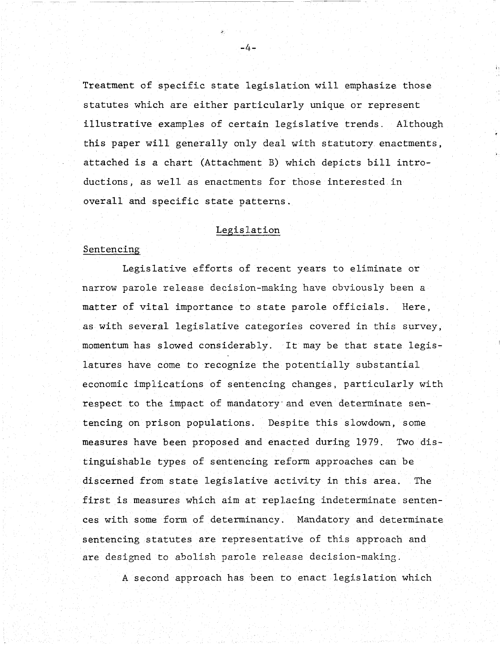Treatment of specific state legislation will emphasize those statutes which are either particularly unique or represent illustrative examples of certain legislative trends. Although this paper will generally only deal with statutory enactments, attached is a chart (Attachment B) which depicts bill introductions, as well as enactments for those interested in overall and specific state patterns.

;,

#### Legislation

#### Sentencing

Legislative efforts of recent years to eliminate or narrow parole release decision-making have obviously been a matter of vital importance to state parole officials. Here, as with several legislative categories covered in this survey, momentum has slowed considerably. It may be that state legislatures have come to recognize the potentially substantial economic implications of sentencing changes, particularly with respect to the impact of mandatory' and even determinate sentencing on prison populations. Despite this slowdown, some measures have been proposed and enacted during 1979. Two distinguishable types of sentencing reform approaches can be discerned from state legislative activity in this area. The first is measures which aim at replacing indeterminate sentences with some form of determinancy. Mandatory and determinate sentencing statutes are representative of this approach and are designed to abolish parole release decision-making.

A second approach has been to enact legislation which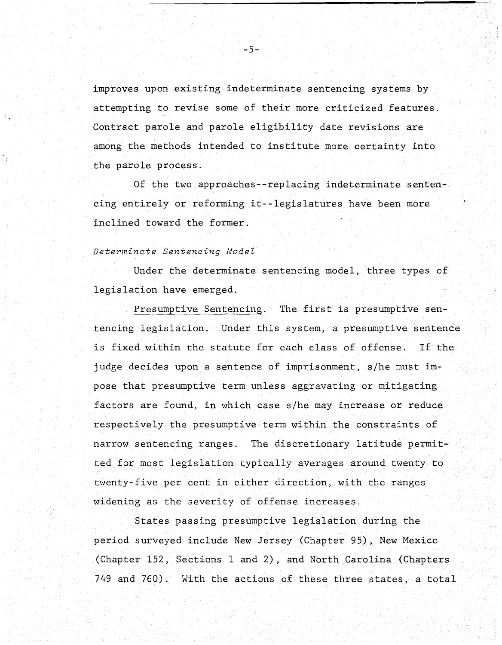improves upon existing indeterminate sentencing systems by attempting to revise some of their more criticized features. Contract parole and parole eligibility date revisions are among the methods intended to institute more certainty into the parole process.

Of the two approaches--replacing indeterminate sentencing entirely or reforming it--legislatures have been more inclined toward the former.

# *Determinate sentencing Model*

Under the determinate sentencing model, three types of legislation have emerged.

Presumptive Sentencing. The first is presumptive sentencing legislation. Under this system, a presumptive sentence is fixed within the statute for each class of offense. If the judge decides upon a sentence of imprisonment, *s/he* must impose that presumptive term unless aggravating or mitigating factors are found, in which case *slhe* may increase or reduce respectively the presumptive term within the constraints of narrow sentencing ranges. The discretionary latitude permitted for most legislation typically averages around twenty to twenty-five per cent in either direction, with the ranges widening as the severity of offense increases.

States passing presumptive legislation during the period surveyed include New Jersey (Chapter 95), New Mexico (Chapter 152, Sections 1 and 2), and North Carolina (Chapters 749 and 760). With the actions of these three states, a total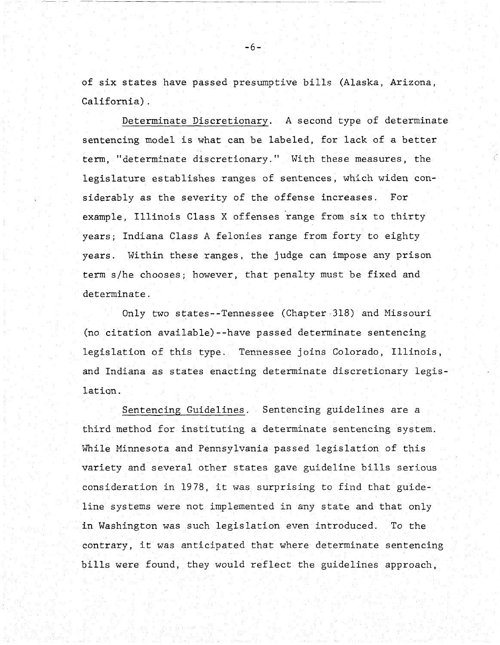of six states have passed presumptive bills (Alaska, Arizona, California) .

Determinate Discretionary. A second type of determinate sentencing model is what can be labeled, for lack of a better term, "determinate discretionary." With these measures, the legislature establishes ranges of sentences, which widen considerably as the severity of the offense increases. For example, Illinois Class X offenses range from six to thirty years; Indiana Class A felonies range from forty to eighty years. Within these ranges, the judge can impose any prison term *slhe* chooses; however, that penalty must be fixed and determinate.

Only two states--Tennessee (Chapter-318) and Nissouri (no citation available)--have passed determinate sentencing legislation of this type. Tennessee joins Colorado, Illinois, and Indiana as states enacting determinate discretionary legislation.

Sentencing Guidelines. Sentencing guidelines are a third method for instituting a determinate sentencing system. While Minnesota and Pennsylvania passed legislation of this variety and several other states gave guideline bills serious consideration in 1978, it was surprising to find that guideline systems were not implemented in any state and that only in Washington was such legislation even introduced. To the contrary, it was anticipated that where determinate sentencing bills were found, they would reflect the guidelines approach,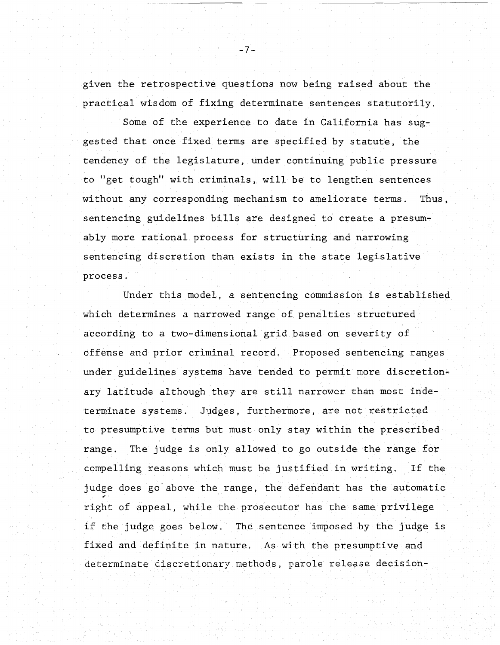given the retrospective questions now being raised about the practical wisdom of fixing determinate sentences statutorily.

Some of the experience to date in California has suggested that once fixed terms are specified by statute, the tendency of the legislature, under continuing public pressure to "get tough" with criminals, will be to lengthen sentences without any corresponding mechanism to ameliorate terms. Thus, sentencing guidelines bills are designed to create a presumably more rational process for structuring and narrowing sentencing discretion than exists in the state legislative process.

Under this model, a sentencing commission is established which determines a narrowed range of penalties structured according to a two-dimensional grid based on severity of offense and prior criminal record. Proposed sentencing ranges under guidelines systems have tended to permit more discretionary latitude although they are still narrower than most indeterminate systems. Judges, furthermore, are not restricted to presumptive terms but must only stay within the prescribed range. The judge is only allowed to go outside the range for compelling reasons which must be justified in writing. If the judge does go above the range, the defendant has the automatic right of appeal, while the prosecutor has the same privilege if the judge goes below. The sentence imposed by the judge is fixed and definite in nature. As with the presumptive and determinate discretionary methods, parole release decision-

-7-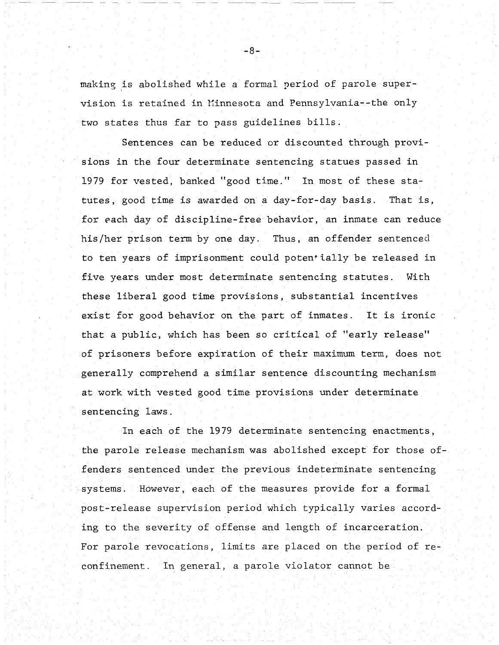making is abolished while a formal period of parole supervision is retained in Minnesota and Pennsylvania--the only two states thus far to pass guidelines bills.

Sentences can be reduced or discounted through provisions in the four determinate sentencing statues passed in 1979 for vested, banked "good time." In most of these sta $tutes, good time is awarded on a day-for-day basis. That is,$ for each day of discipline-free behavior, an inmate can reduce his/her prison term by one day. Thus, an offender sentenced to ten years of imprisonment could potentially be released in five years under most determinate sentencing statutes. With these liberal good time provisions, substantial incentives exist for good behavior on the part of inmates. It is ironic that a public, which has been so critical of "early release" of prisoners before expiration of their maximum term, does not generally comprehend a similar sentence discounting mechanism at work with vested good time provisions under determinate sentencing laws.

In each of the 1979 determinate sentencing enactments, the parole release mechanism was abolished except for those offenders sentenced under the previous indeterminate sentencing systems. However, each of the measures provide for a formal post-release supervision period which typically varies according to the severity of offense and length of incarceration. For parole revocations, limits are placed on the period of reconfinement. In general, a parole violator cannot be

-8-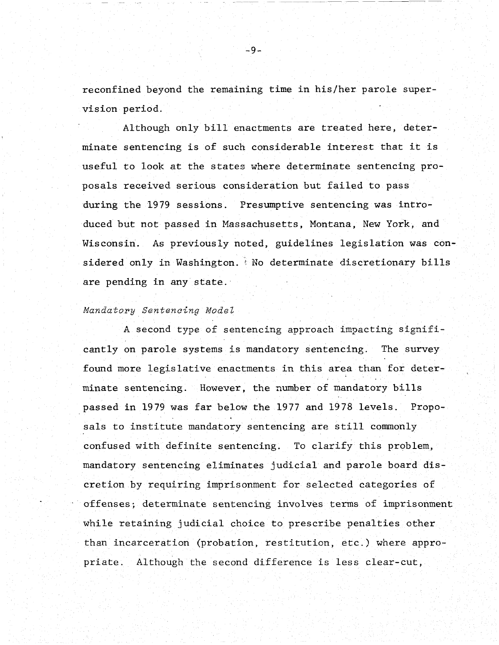reconfined beyond the remaining time in his/her parole supervision period.

Although only bill enactments are treated here, determinate sentencing is of such considerable interest that it is useful to look at the states where determinate sentencing proposals received serious consideration but failed to pass during the 1979 sessions. Presumptive sentencing was introduced but not passed in Massachusetts, Montana, New York, and Wisconsin. As previously noted, guidelines legislation was considered only in Washington. No determinate discretionary bills are pending in any state.

#### *Mandatory Sentencing ModeZ*

A second type of sentencing approach impacting significantly on parole systems is mandatory sentencing. The survey found more legislative enactments in this area than for determinate sentencing. However, the number of mandatory bills passed in 1979 was far below the 1977 and 1978 levels. Proposals to institute mandatory sentencing are still commonly confused with definite sentencing. To clarify this problem, mandatory sentencing eliminates judicial and parole board discretion by requiring imprisonment for selected categories of offenses; determinate sentencing involves terms of imprisonment while retaining judicial choice to prescribe penalties other than incarceration (probation, restitution, etc.) where appropriate. Although the second difference is less clear-cut,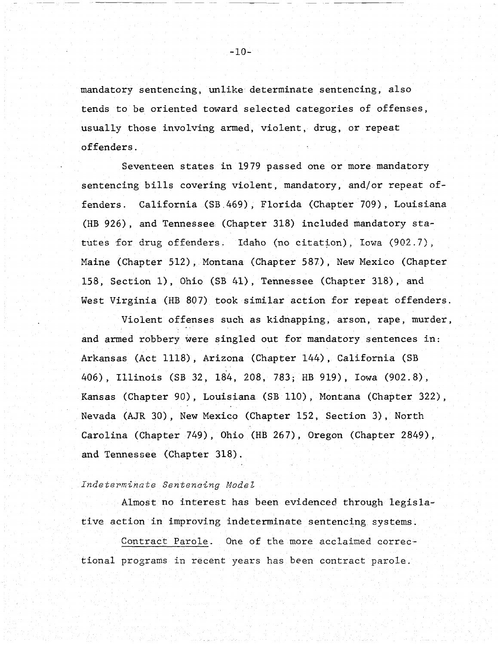mandatory sentencing, unlike determinate sentencing, also tends to be oriented toward selected categories of offenses, usually those involving armed, violent, drug, or repeat offenders.

Seventeen states in 1979 passed one or more mandatory sentencing bills covering violent, mandatory, and/or repeat offenders. California (SB.469), Florida (Chapter 709), Louisiana (HB 926), and Tennessee (Chapter 318) included mandatory statutes for drug offenders. Idaho (no citation), Iowa (902.7), Maine (Chapter 512), Montana (Chapter 581), New Mexico (Chapter 158, Section 1), Ohio (SB 41), Tennessee (Chapter 318), and West Virginia (HB 807) took similar action for repeat offenders.

Violent offenses such as kidnapping, arson, rape, murder, and armed robbery were singled out for mandatory sentences in: Arkansas (Act 1118), Arizona (Chapter 144), California (SB 406), Illinois (SB 32, 184, 208, 783; HB 919), Iowa (902.8), Kansas (Chapter 90), Louisiana (SB 110), Montana (Chapter 322), Nevada (AJR 30), New Mexico (Chapter 152, Section 3), North Carolina (Chapter 749), Ohio (HE 267), Oregon (Chapter 2849), and Tennessee (Chapter 318).

#### *Indetepminate Sentencing Model*

Almost no interest has been evidenced through legislative action in improving indeterminate sentencing systems.

Contract Parole. One of the more acclaimed correctional programs in recent years has been contract parole.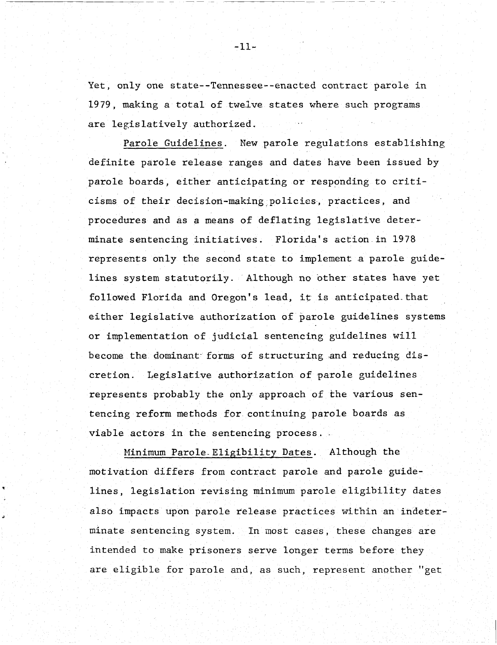Yet, only one state--Tennessee--enacted contract parole in 1979, making a total of twelve states where such programs are legislatively authorized.

Parole Guidelines. New parole regulations establishing definite parole release ranges and dates have been issued by parole boards, either anticipating or responding to criticisms of their decision-making. policies , practices, and procedures and as a means of deflating legislative determinate sentencing initiatives. Florida's action in 1978 represents only the second state to implement a parole guidelines system statutorily. Although no other states have yet followed Florida and Oregon's lead, it is anticipated that either legislative authorization of parole guidelines systems or implementation of judicial sentencing guidelines will become the dominant forms of structuring and reducing discretion. Legislative authotization of parole guidelines represents probably the only approach of the various sentencing reform methods £or continuing parole boards as viable actors in the sentencing process.

Minimum Parole Eligibility Dates. Although the motivation differs from contract parole and parole guidelines, legislation revising minimum parole eligibility dates also impacts upon parole release practices within an indeterminate sentencing system. In most cases, these changes are intended to make prisoners serve longer terms before they are eligible for parole and, as such, represent another "get

-11-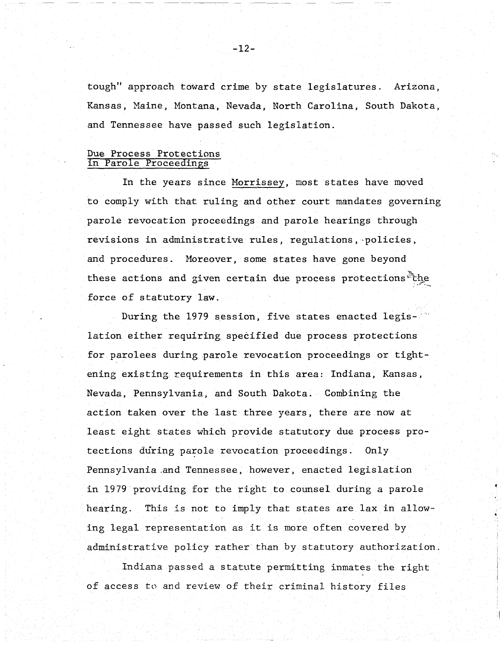tough" approach toward crime by state legislatures. Arizona, Kansas, Maine, Montana, Nevada, North Carolina, South Dakota, and Tennessee have passed such legislation.

# Due Process Protections in Parole Proceedings

In the years since Morrissey, most states have moved to comply with that ruling and other court mandates governing parole revocation proceedings and parole hearings through revisions in administrative rules, regulations, ·policies, and procedures. Horeover, some states have gone beyond these actions and given certain due process protections the force of statutory law.

During the 1979 session, five states enacted legislation either requiring. specified due process protections for parolees during parole revocation proceedings or tightening existing requirements in this area: Indiana, Kansas, Nevada, Pennsylvania, and South Dakota. Combining the action taken over the last three years, there are now at least eight states which provide statutory due process protections during parole revocation proceedings. Only Pennsylvania .and Tennessee, however, enacted legislation in 1979 providing for the right to counsel during a parole hearing. This is not to imply that states are lax in allowing legal representation as it is more often covered by administrative policy rather than by statutory authorization.

Indiana passed a statute permitting inmates the right of access to and review of their criminal history files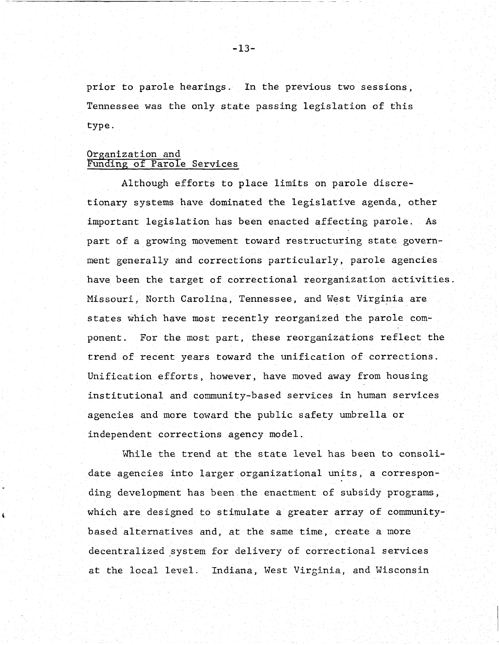prior to parole hearings. In the previous two sessions, Tennessee was the only state passing legislation of this type.

### Organization and Funding of Parole Services

Although efforts to place limits on parole discretionary systems have dominated the legislative agenda, other important legislation has been enacted affecting parole. As part of a growing movement toward restructuring state government generally and corrections particularly, parole agencies have been the target of correctional reorganization activities. Missouri. North Carolina, Tennessee, and West Virginia are states which have most recently reorganized the parole component. For the most part, these reorganizations reflect the trend of recent years toward the unification of corrections. Unification efforts, however, have moved away from housing institutional and community-based services in human services agencies and more toward the public safety umbrella or independent corrections agency model.

While the trend at the state level has been to consolidate agencies into larger organizational units, a corresponding development has been the enactment of subsidy programs, which are designed to stimulate a greater array of communitybased alternatives and, at the same time, create a more decentralized system for delivery of correctional services at the local level. Indiana, West Virginia, and Wisconsin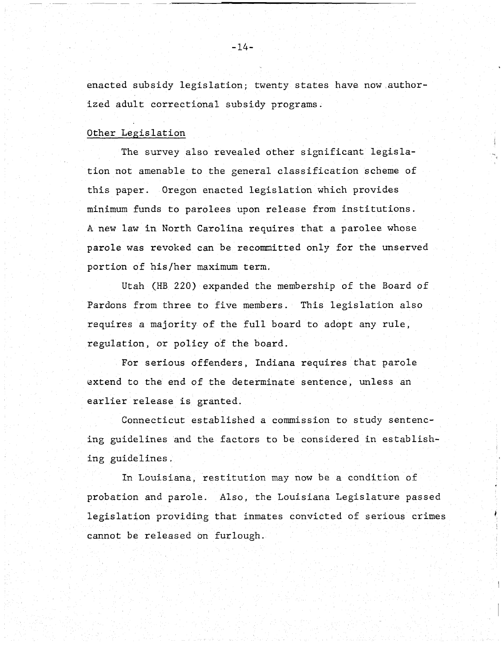enacted subsidy legislation; twenty states have now.authorized adult correctional subsidy programs.

#### Other Legislation

The survey also revealed other significant legislation not amenable to the general classification scheme of this paper. Oregon enacted legislation which provides minimum funds to parolees upon release from institutions. A new law in North Carolina requires that a parolee whose parole was revoked can be recommitted only for the unserved portion of his/her maximum term.

Utah (HB 220) expanded the membership of the Board of Pardons from three to five members. This legislation also requires a majority of the full board to adopt any rule, regulation, or policy *of* the board.

For serious offenders, Indiana requires that parole extend to the end of the determinate sentence, unless an earlier release is granted.

Connecticut established a commission to study sentencing guidelines and the factors to be considered in establishing guidelines.

In Louisiana, restitution may now be a condition of probation and parole. Also, the Louisiana Legislature passed legislation providing that inmates convicted of serious crimes cannot be released on furlough.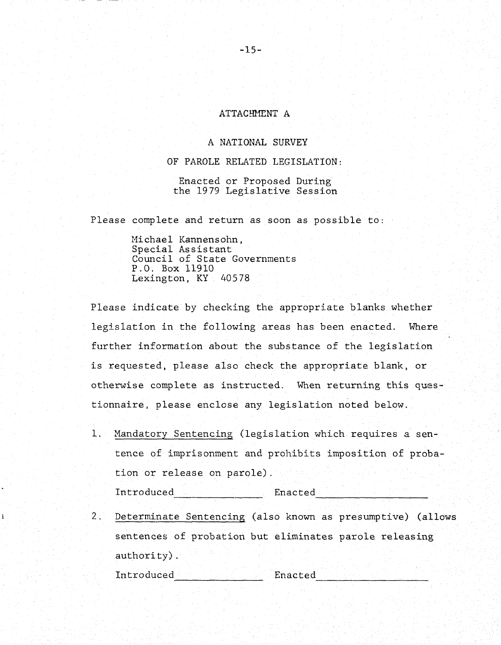#### ATTACHHENT A

# A NATIONAL SURVEY

OF PAROLE RELATED LEGISLATION:

Enacted or Proposed During the 1979 Legislative Session

Please complete and return as soon as possible to:

Hichael Kannensohn, Special Assistant Council of State Governments P.O. Box 11910 Lexington, KY 40578

Please indicate by checking the appropriate blanks whether legislation in the following areas has been enacted. Wnere further information about the substance of the legislation is requested, please also check the appropriate blank, or otherwise complete as instructed. When returning this questionnaire, please enclose any legislation noted below.

1. Mandatory Sentencing (legislation which requires a sentence of imprisonment and prohibits imposition of probation or release on parole).

Introduced Enacted Enacted

2. Determinate Sentencing (also known as presumptive) (allows sentences of probation but eliminates parole releasing authority).

Introduced Enacted ---------------- --------------------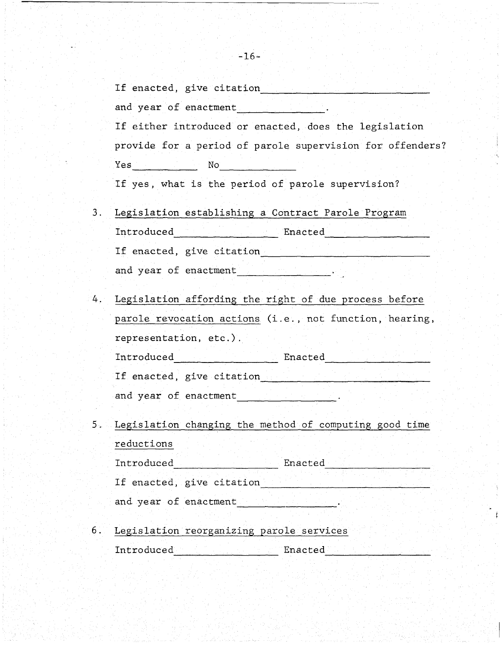|    | If enacted, give citation                                 |
|----|-----------------------------------------------------------|
|    | and year of enactment                                     |
|    | If either introduced or enacted, does the legislation     |
|    | provide for a period of parole supervision for offenders? |
|    | Yes<br>No                                                 |
|    | If yes, what is the period of parole supervision?         |
| 3. | Legislation establishing a Contract Parole Program        |
|    | Introduced<br>Enacted                                     |
|    | If enacted, give citation                                 |

and year of enactment -------------

- 4. Legislation affording the right of due process before parole revocation actions (i.e., not function, hearing, representation, etc.). Introduced Enacted --------------- -------------------- If enacted, give citation \_\_\_\_\_\_\_\_\_\_\_\_\_\_\_\_\_\_\_\_\_\_\_\_\_\_\_\_\_ \_\_ and year of enactment ----------------
- 5.. Legislation changing the method of computing good time reductions Introduced Enacted -------------- -------------------- If enacted, give citation ------------------------------ and year of enactment \_\_\_\_\_\_\_\_\_\_\_\_\_ \_\_ 6. Legislation reorganizing parole services

Introduced Enacted -------------------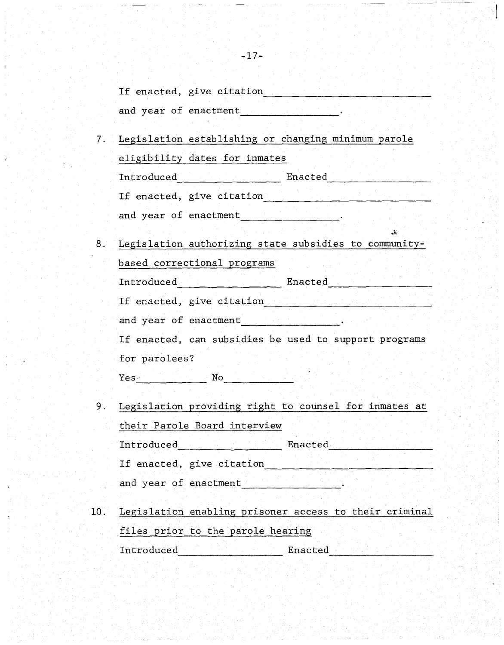|                       | If enacted, give citation |  |  |
|-----------------------|---------------------------|--|--|
|                       |                           |  |  |
| and year of enactment |                           |  |  |
|                       |                           |  |  |

- 7. Legislation establishing or changing minimum parole eligibility dates for inmates Introduced Enacted ------------------- ------------------- If enacted, give citation -------------------------------- and year of enactment \_\_\_\_\_\_\_\_\_\_\_\_\_\_\_\_ \_\_
- 8. Legislation authorizing state subsidies to communitybased correctional programs Introduced Enacted -------------------- -------------------- If enacted, give citation  $\qquad \qquad \qquad$  and year of enactment  $\qquad \qquad \qquad$ If enacted, can subsidies be used to support programs for parolees? Yes- No ------------- -------------
- 9. Legislation providing right to counsel for inmates at their Parole Board interview Introduced and the Enacted Branch is a series of the Enacted States of the Enacted States and the Enacted States of the Enacted States and the Enacted States and the Enacted States and the Enacted States and the Enacted St If enacted, give citation  $\qquad \qquad$  and year of enactment  $\qquad \qquad$ 10. Legislation enabling prisoner access to their criminal

files prior to the parole hearing Introduced Enacted -------------------- --------------------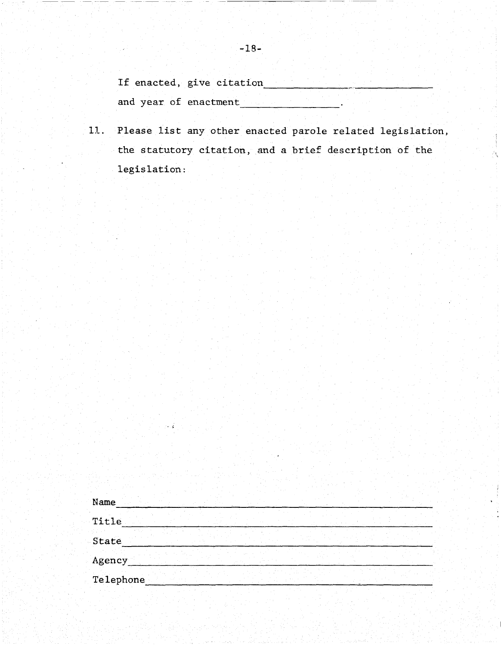If enacted, give citation

 $\mathbb{R}^3$ 

and year of enactment

11. Please list any other enacted parole related legislation, the statutory citation, and a brief description of the legislation:

| Name      |  |  |  |  |
|-----------|--|--|--|--|
| Title     |  |  |  |  |
| State     |  |  |  |  |
| Agency    |  |  |  |  |
| Telephone |  |  |  |  |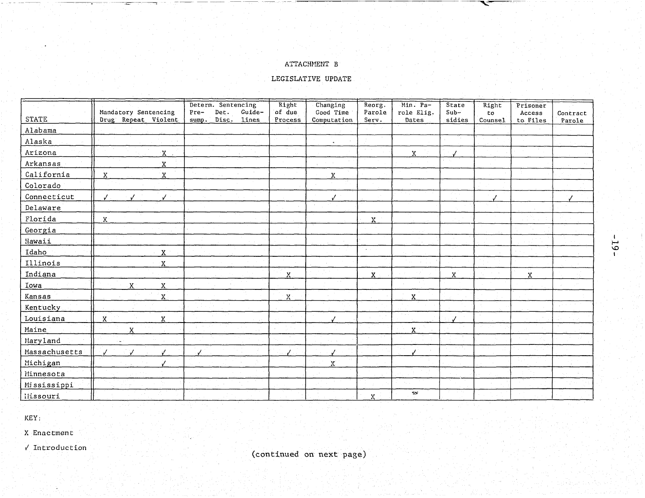# ATTACHMENT B

# LEGISLATIVE UPDATE

|               | Mandatory Sentencing              | Determ. Sentencing<br>Guide-<br>Pre-<br>Det. | Right<br>of due | Changing<br>Good Time | Reorg.<br>Parole | Min. Pa-<br>role Elig. | State<br>$Sub-$ | Right<br>to | Prisoner<br>Access | Contract |
|---------------|-----------------------------------|----------------------------------------------|-----------------|-----------------------|------------------|------------------------|-----------------|-------------|--------------------|----------|
| <b>STATE</b>  | Drug Repeat Violent               | Disc.<br>lines<br>sump.                      | Process         | Computation           | Serv.            | Dates                  | sidies          | Counsel     | to Files           | Parole   |
| Alabama       |                                   |                                              |                 |                       |                  |                        |                 |             |                    |          |
| Alaska        |                                   |                                              |                 | $\bullet$             |                  |                        |                 |             |                    |          |
| Arizona       | $\mathbf{X}$                      |                                              |                 |                       |                  | X.                     |                 |             |                    |          |
| Arkansas      | $\rm X$                           |                                              |                 |                       |                  |                        |                 |             |                    |          |
| California    | $\boldsymbol{\mathsf{X}}$<br>X    |                                              |                 | X                     |                  |                        |                 |             |                    |          |
| Colorado      |                                   |                                              |                 |                       |                  |                        |                 |             |                    |          |
| Connecticut   | $\overline{J}$ .<br>$\cdot$       |                                              |                 |                       |                  |                        |                 |             |                    |          |
| Delaware      |                                   |                                              |                 |                       |                  |                        |                 |             |                    |          |
| Florida       | $\mathbf X$                       |                                              |                 |                       | X                |                        |                 |             |                    |          |
| Georgia       |                                   |                                              |                 |                       |                  |                        |                 |             |                    |          |
| Hawaii        |                                   |                                              |                 |                       |                  |                        |                 |             |                    |          |
| Idaho         | X.                                |                                              |                 |                       | $\sim$           |                        |                 |             |                    |          |
| Illinois      | $\mathbf x$                       |                                              |                 |                       |                  |                        |                 |             |                    |          |
| Indiana       |                                   |                                              | Х               |                       | X                |                        | X               |             | $\mathbf X$        |          |
| Iowa          | $\mathbf x$<br>$\mathbf{\bar{X}}$ |                                              |                 |                       |                  |                        |                 |             |                    |          |
| Kansas        | $\mathbf x$                       |                                              | $\mathbf{X}$    |                       |                  | $\mathbf x$            |                 |             |                    |          |
| Kentucky      |                                   |                                              |                 |                       |                  |                        |                 |             |                    |          |
| Louisiana     | $\boldsymbol{X}$<br>$\mathbf{x}$  |                                              |                 |                       |                  |                        |                 |             |                    |          |
| Maine         | X                                 |                                              |                 |                       |                  | $\mathbf{x}$           |                 |             |                    |          |
| Maryland      | $\sim$ 1                          |                                              |                 |                       |                  |                        |                 |             |                    |          |
| Massachusetts |                                   |                                              |                 |                       |                  |                        |                 |             |                    |          |
| Michigan      |                                   |                                              |                 | Х                     |                  |                        |                 |             |                    |          |
| Minnesota     |                                   |                                              |                 |                       |                  |                        |                 |             |                    |          |
| Mississippi   |                                   |                                              |                 |                       |                  |                        |                 |             |                    |          |
| liissouri     |                                   |                                              |                 |                       | $\mathbf{x}$     | $\gamma_{\rm eff}$     |                 |             |                    |          |

KEY:

X Enactment

 $\sqrt{\text{Introduction}}$ 



 $-61 -$ 

ౌ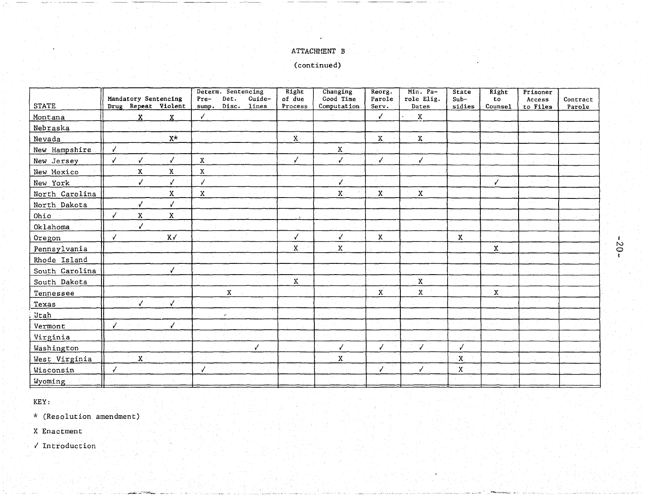# ATTACHMENT B

(continued)

| <b>STATE</b>   | Mandatory Sentencing<br>Drug Repeat Violent       | Determ. Sentencing<br>Det.<br>Guide-<br>Pre-<br>Disc.<br>lines<br>sump. | Right<br>of due<br>Process | Changing<br>Good Time<br>Computation | Reorg.<br>Parole<br>Serv. | Min. Pa-<br>role Elig.<br>Dates | State<br>$Sub-$<br>sidies | Right<br>to<br>Counsel | Prisoner<br>Access<br>to Files | Contract<br>Parole |
|----------------|---------------------------------------------------|-------------------------------------------------------------------------|----------------------------|--------------------------------------|---------------------------|---------------------------------|---------------------------|------------------------|--------------------------------|--------------------|
| Montana        | $\mathbf x$<br>X                                  |                                                                         |                            |                                      | $\checkmark$              | $\mathbf{x}$                    |                           |                        |                                |                    |
| Nebraska       |                                                   |                                                                         |                            |                                      |                           |                                 |                           |                        |                                |                    |
| Nevada         | $\mathbf{x} \star$                                |                                                                         | $\mathbf X$                |                                      | $\mathbf X$               | $\mathbf X$                     |                           |                        |                                |                    |
| New Hampshire  | J                                                 |                                                                         |                            | $\mathbf{X}$                         |                           |                                 |                           |                        |                                |                    |
| New Jersey     | $\checkmark$<br>$\sqrt{2}$<br>$\checkmark$        | $\mathbf X$                                                             | ✓                          | ✓                                    | $\checkmark$              | $\sqrt{ }$                      |                           |                        |                                |                    |
| New Mexico     | $\mathbf x$<br>$\mathbf x$                        | X                                                                       |                            |                                      |                           |                                 |                           |                        |                                |                    |
| New York       | $\mathcal{N}$<br>✓                                | $\checkmark$                                                            |                            | $\checkmark$                         |                           |                                 |                           | ✓                      |                                |                    |
| North Carolina | $\mathbf x$                                       | X                                                                       |                            | X <sub>1</sub>                       | $\mathbf{x}$              | $\mathbf x$                     |                           |                        |                                |                    |
| North Dakota   | √<br>$\checkmark$                                 |                                                                         |                            |                                      |                           |                                 |                           |                        |                                |                    |
| Ohio           | $\dot{\mathbf{X}}$<br>$\mathbf x$<br>$\checkmark$ |                                                                         |                            |                                      |                           |                                 |                           |                        |                                |                    |
| Oklahoma       |                                                   |                                                                         |                            |                                      |                           |                                 |                           |                        |                                |                    |
| Oregon         | $X\checkmark$<br>√                                |                                                                         | ∕                          | Ÿ.                                   | $\mathbf{x}$              |                                 | $\mathbf x$               |                        |                                |                    |
| Pennsylvania   |                                                   |                                                                         | X.                         | $\mathbf X$                          |                           |                                 |                           | $\mathbf X$            |                                |                    |
| Rhode Island   |                                                   |                                                                         |                            |                                      |                           |                                 |                           |                        |                                |                    |
| South Carolina | V                                                 |                                                                         |                            |                                      |                           |                                 |                           |                        |                                |                    |
| South Dakota   |                                                   |                                                                         | $\mathbf{\bar{X}}$         |                                      |                           | X                               |                           |                        |                                |                    |
| Tennessee      |                                                   | $\mathbf{X}$                                                            |                            |                                      | $\mathbf{x}$              | $\mathbf x$                     |                           | $\mathbf{x}$           |                                |                    |
| Texas          | J<br>J                                            |                                                                         |                            |                                      |                           |                                 |                           |                        |                                |                    |
| <b>Utah</b>    |                                                   | المها                                                                   |                            |                                      |                           |                                 |                           |                        |                                |                    |
| Vermont        |                                                   |                                                                         |                            |                                      |                           |                                 |                           |                        |                                |                    |
| Virginia       |                                                   |                                                                         |                            |                                      |                           |                                 |                           |                        |                                |                    |
| Washington     |                                                   | $\sqrt{2}$                                                              |                            | $\overline{J}$                       | J                         | V                               |                           |                        |                                |                    |
| West Virginia  | $\mathbf{x}$                                      |                                                                         |                            | X                                    |                           |                                 | X.                        |                        |                                |                    |
| Wisconsin      |                                                   | $\sqrt{ }$                                                              |                            |                                      | J                         | $\sqrt{2}$                      | X                         |                        |                                |                    |
| Wyoming        |                                                   |                                                                         |                            |                                      |                           |                                 |                           |                        |                                |                    |

KEY:

\* (Resolution amendment)

X Enactment

 $\sqrt{\ }$  Introduction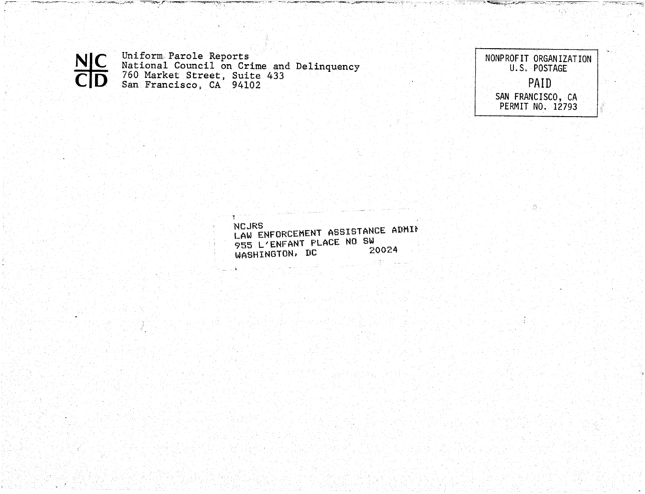Uniform Parole Reports<br>National Council on Crime and Delinquency<br>760 Market Street, Suite 433<br>San Francisco, CA 94102 **NIC** 

لمستقض

NONPROFIT ORGANIZATION<br>U.S. POSTAGE PAID SAN FRANCISCO, CA<br>PERMIT NO. 12793

登。

NCJRS LAW ENFORCEMENT ASSISTANCE ADMIT 955 L'ENFANT PLACE NO SW 20024 WASHINGTON, DC